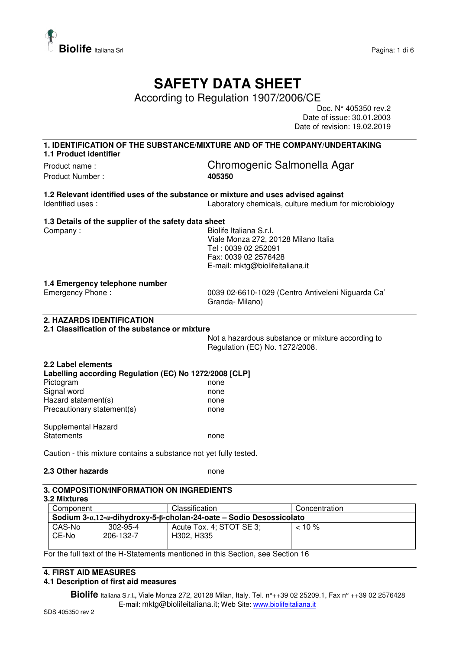

# **SAFETY DATA SHEET**

According to Regulation 1907/2006/CE

Doc. N° 405350 rev.2 Date of issue: 30.01.2003 Date of revision: 19.02.2019

#### **1. IDENTIFICATION OF THE SUBSTANCE/MIXTURE AND OF THE COMPANY/UNDERTAKING 1.1 Product identifier**

Product Number : **405350** 

Product name : Chromogenic Salmonella Agar

**1.2 Relevant identified uses of the substance or mixture and uses advised against**  Identified uses : Laboratory chemicals, culture medium for microbiology

#### **1.3 Details of the supplier of the safety data sheet**

Company : Company : Georgia Company : Company : Georgia Company : Georgia Company : Georgia Company : Georgia Company in the Biolife Italiana S.r.l. Viale Monza 272, 20128 Milano Italia Tel : 0039 02 252091 Fax: 0039 02 2576428 E-mail: mktg@biolifeitaliana.it

#### **1.4 Emergency telephone number**

Emergency Phone : 0039 02-6610-1029 (Centro Antiveleni Niguarda Ca' Granda- Milano)

# **2. HAZARDS IDENTIFICATION**

### **2.1 Classification of the substance or mixture**

Not a hazardous substance or mixture according to Regulation (EC) No. 1272/2008.

| 2.2 Label elements<br>Labelling according Regulation (EC) No 1272/2008 [CLP] |      |
|------------------------------------------------------------------------------|------|
| Pictogram                                                                    | none |
| Signal word                                                                  | none |
| Hazard statement(s)                                                          | none |
| Precautionary statement(s)                                                   | none |
| Supplemental Hazard                                                          |      |
| Statements                                                                   | none |

Caution - this mixture contains a substance not yet fully tested.

### **2.3 Other hazards** none

#### **3. COMPOSITION/INFORMATION ON INGREDIENTS**

## **3.2 Mixtures**

| Component                                                                     |                | Classification           | Concentration |  |
|-------------------------------------------------------------------------------|----------------|--------------------------|---------------|--|
| Sodium $3-a,12-a$ -dihydroxy-5- $\beta$ -cholan-24-oate – Sodio Desossicolato |                |                          |               |  |
| CAS-No                                                                        | $302 - 95 - 4$ | Acute Tox. 4; STOT SE 3; | $< 10 \%$     |  |
| CE-No                                                                         | 206-132-7      | H302, H335               |               |  |
|                                                                               |                |                          |               |  |

For the full text of the H-Statements mentioned in this Section, see Section 16

## **4. FIRST AID MEASURES**

#### **4.1 Description of first aid measures**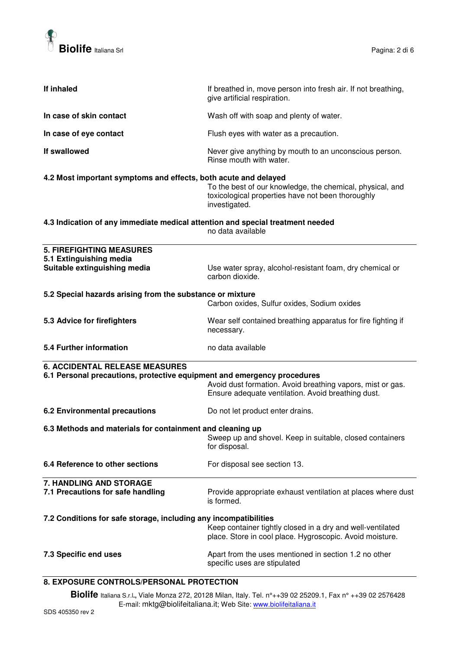

| If inhaled                                                                     | If breathed in, move person into fresh air. If not breathing,<br>give artificial respiration.                                   |
|--------------------------------------------------------------------------------|---------------------------------------------------------------------------------------------------------------------------------|
| In case of skin contact                                                        | Wash off with soap and plenty of water.                                                                                         |
| In case of eye contact                                                         | Flush eyes with water as a precaution.                                                                                          |
| If swallowed                                                                   | Never give anything by mouth to an unconscious person.<br>Rinse mouth with water.                                               |
| 4.2 Most important symptoms and effects, both acute and delayed                | To the best of our knowledge, the chemical, physical, and<br>toxicological properties have not been thoroughly<br>investigated. |
| 4.3 Indication of any immediate medical attention and special treatment needed | no data available                                                                                                               |
| <b>5. FIREFIGHTING MEASURES</b>                                                |                                                                                                                                 |
| 5.1 Extinguishing media                                                        |                                                                                                                                 |
| Suitable extinguishing media                                                   | Use water spray, alcohol-resistant foam, dry chemical or<br>carbon dioxide.                                                     |
| 5.2 Special hazards arising from the substance or mixture                      |                                                                                                                                 |
|                                                                                | Carbon oxides, Sulfur oxides, Sodium oxides                                                                                     |
| 5.3 Advice for firefighters                                                    | Wear self contained breathing apparatus for fire fighting if<br>necessary.                                                      |
| 5.4 Further information                                                        | no data available                                                                                                               |
| <b>6. ACCIDENTAL RELEASE MEASURES</b>                                          |                                                                                                                                 |
| 6.1 Personal precautions, protective equipment and emergency procedures        |                                                                                                                                 |
|                                                                                | Avoid dust formation. Avoid breathing vapors, mist or gas.<br>Ensure adequate ventilation. Avoid breathing dust.                |
| <b>6.2 Environmental precautions</b>                                           | Do not let product enter drains.                                                                                                |
| 6.3 Methods and materials for containment and cleaning up                      |                                                                                                                                 |
|                                                                                | Sweep up and shovel. Keep in suitable, closed containers<br>for disposal.                                                       |
| 6.4 Reference to other sections                                                | For disposal see section 13.                                                                                                    |
| 7. HANDLING AND STORAGE                                                        |                                                                                                                                 |
| 7.1 Precautions for safe handling                                              | Provide appropriate exhaust ventilation at places where dust<br>is formed.                                                      |
| 7.2 Conditions for safe storage, including any incompatibilities               |                                                                                                                                 |
|                                                                                | Keep container tightly closed in a dry and well-ventilated<br>place. Store in cool place. Hygroscopic. Avoid moisture.          |
| 7.3 Specific end uses                                                          | Apart from the uses mentioned in section 1.2 no other<br>specific uses are stipulated                                           |
| 8. EXPOSURE CONTROLS/PERSONAL PROTECTION                                       |                                                                                                                                 |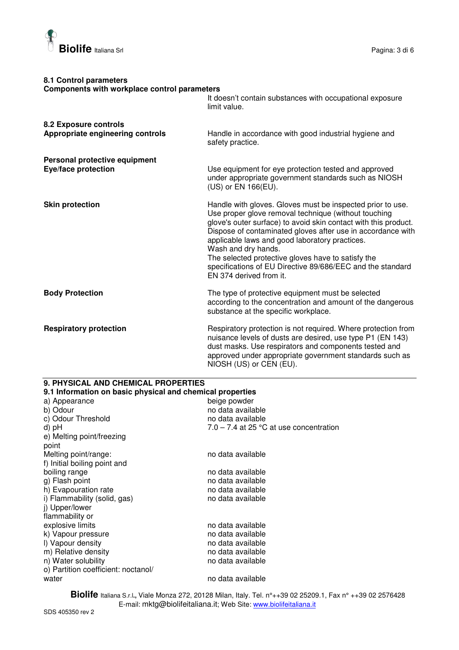

## **8.1 Control parameters Components with workplace control parameters**  It doesn't contain substances with occupational exposure limit value. **8.2 Exposure controls Appropriate engineering controls** Handle in accordance with good industrial hygiene and safety practice. **Personal protective equipment Eye/face protection Letter and EVE/face protection** Use equipment for eye protection tested and approved under appropriate government standards such as NIOSH (US) or EN 166(EU). **Skin protection Handle with gloves. Gloves must be inspected prior to use.** Handle with gloves. Gloves must be inspected prior to use. Use proper glove removal technique (without touching glove's outer surface) to avoid skin contact with this product. Dispose of contaminated gloves after use in accordance with applicable laws and good laboratory practices. Wash and dry hands. The selected protective gloves have to satisfy the specifications of EU Directive 89/686/EEC and the standard EN 374 derived from it. **Body Protection The type of protective equipment must be selected** according to the concentration and amount of the dangerous substance at the specific workplace. **Respiratory protection <b>Respiratory** Protection is not required. Where protection from nuisance levels of dusts are desired, use type P1 (EN 143) dust masks. Use respirators and components tested and approved under appropriate government standards such as NIOSH (US) or CEN (EU).

| <b>9. PHYSICAL AND CHEMICAL PROPERTIES</b>                |                                           |  |
|-----------------------------------------------------------|-------------------------------------------|--|
| 9.1 Information on basic physical and chemical properties |                                           |  |
| a) Appearance                                             | beige powder                              |  |
| b) Odour                                                  | no data available                         |  |
| c) Odour Threshold                                        | no data available                         |  |
| d) pH                                                     | $7.0 - 7.4$ at 25 °C at use concentration |  |
| e) Melting point/freezing                                 |                                           |  |
| point                                                     |                                           |  |
| Melting point/range:                                      | no data available                         |  |
| f) Initial boiling point and                              |                                           |  |
| boiling range                                             | no data available                         |  |
| g) Flash point                                            | no data available                         |  |
| h) Evapouration rate                                      | no data available                         |  |
| i) Flammability (solid, gas)                              | no data available                         |  |
| j) Upper/lower                                            |                                           |  |
| flammability or                                           |                                           |  |
| explosive limits                                          | no data available                         |  |
| k) Vapour pressure                                        | no data available                         |  |
| I) Vapour density                                         | no data available                         |  |
| m) Relative density                                       | no data available                         |  |
| n) Water solubility                                       | no data available                         |  |
| o) Partition coefficient: noctanol/                       |                                           |  |
| water                                                     | no data available                         |  |
|                                                           |                                           |  |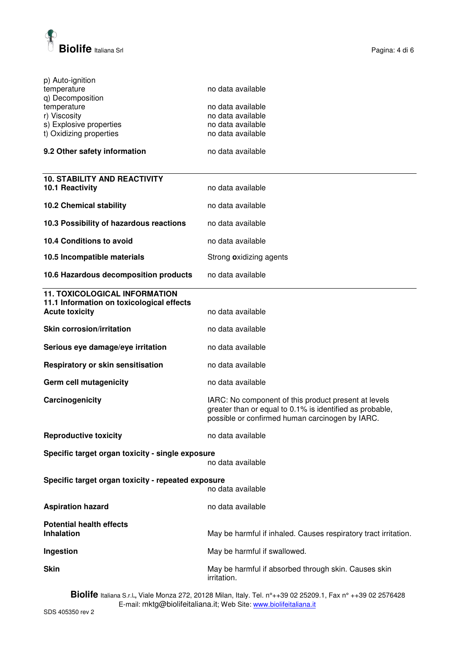

| p) Auto-ignition<br>temperature                    | no data available                                               |
|----------------------------------------------------|-----------------------------------------------------------------|
| q) Decomposition                                   |                                                                 |
|                                                    |                                                                 |
| temperature                                        | no data available                                               |
| r) Viscosity                                       | no data available                                               |
| s) Explosive properties                            | no data available                                               |
| t) Oxidizing properties                            | no data available                                               |
| 9.2 Other safety information                       | no data available                                               |
|                                                    |                                                                 |
| <b>10. STABILITY AND REACTIVITY</b>                |                                                                 |
| 10.1 Reactivity                                    | no data available                                               |
|                                                    |                                                                 |
| <b>10.2 Chemical stability</b>                     | no data available                                               |
| 10.3 Possibility of hazardous reactions            | no data available                                               |
|                                                    |                                                                 |
| 10.4 Conditions to avoid                           | no data available                                               |
| 10.5 Incompatible materials                        | Strong oxidizing agents                                         |
| 10.6 Hazardous decomposition products              | no data available                                               |
|                                                    |                                                                 |
| <b>11. TOXICOLOGICAL INFORMATION</b>               |                                                                 |
| 11.1 Information on toxicological effects          |                                                                 |
| <b>Acute toxicity</b>                              | no data available                                               |
| <b>Skin corrosion/irritation</b>                   | no data available                                               |
|                                                    |                                                                 |
| Serious eye damage/eye irritation                  | no data available                                               |
| Respiratory or skin sensitisation                  | no data available                                               |
| Germ cell mutagenicity                             | no data available                                               |
|                                                    |                                                                 |
| Carcinogenicity                                    | IARC: No component of this product present at levels            |
|                                                    | greater than or equal to 0.1% is identified as probable,        |
|                                                    | possible or confirmed human carcinogen by IARC.                 |
|                                                    |                                                                 |
| <b>Reproductive toxicity</b>                       | no data available                                               |
| Specific target organ toxicity - single exposure   |                                                                 |
|                                                    |                                                                 |
|                                                    | no data available                                               |
|                                                    |                                                                 |
| Specific target organ toxicity - repeated exposure |                                                                 |
|                                                    | no data available                                               |
| <b>Aspiration hazard</b>                           | no data available                                               |
|                                                    |                                                                 |
| <b>Potential health effects</b>                    |                                                                 |
| <b>Inhalation</b>                                  |                                                                 |
|                                                    | May be harmful if inhaled. Causes respiratory tract irritation. |
| Ingestion                                          | May be harmful if swallowed.                                    |
|                                                    |                                                                 |
| <b>Skin</b>                                        | May be harmful if absorbed through skin. Causes skin            |
|                                                    | irritation.                                                     |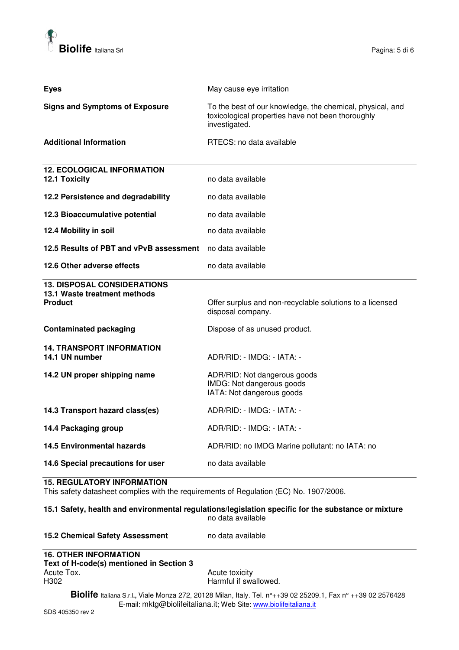

| <b>Eyes</b>                                                                          | May cause eye irritation                                                                                                        |
|--------------------------------------------------------------------------------------|---------------------------------------------------------------------------------------------------------------------------------|
| <b>Signs and Symptoms of Exposure</b>                                                | To the best of our knowledge, the chemical, physical, and<br>toxicological properties have not been thoroughly<br>investigated. |
| <b>Additional Information</b>                                                        | RTECS: no data available                                                                                                        |
| <b>12. ECOLOGICAL INFORMATION</b><br><b>12.1 Toxicity</b>                            | no data available                                                                                                               |
| 12.2 Persistence and degradability                                                   | no data available                                                                                                               |
| 12.3 Bioaccumulative potential                                                       | no data available                                                                                                               |
| 12.4 Mobility in soil                                                                | no data available                                                                                                               |
| 12.5 Results of PBT and vPvB assessment                                              | no data available                                                                                                               |
| 12.6 Other adverse effects                                                           | no data available                                                                                                               |
|                                                                                      |                                                                                                                                 |
| <b>13. DISPOSAL CONSIDERATIONS</b><br>13.1 Waste treatment methods<br><b>Product</b> | Offer surplus and non-recyclable solutions to a licensed<br>disposal company.                                                   |
| <b>Contaminated packaging</b>                                                        | Dispose of as unused product.                                                                                                   |
| <b>14. TRANSPORT INFORMATION</b><br>14.1 UN number                                   | ADR/RID: - IMDG: - IATA: -                                                                                                      |
| 14.2 UN proper shipping name                                                         | ADR/RID: Not dangerous goods<br>IMDG: Not dangerous goods<br>IATA: Not dangerous goods                                          |
| 14.3 Transport hazard class(es)                                                      | ADR/RID: - IMDG: - IATA: -                                                                                                      |
| 14.4 Packaging group                                                                 | ADR/RID: - IMDG: - IATA: -                                                                                                      |
| <b>14.5 Environmental hazards</b>                                                    | ADR/RID: no IMDG Marine pollutant: no IATA: no                                                                                  |

#### **15. REGULATORY INFORMATION**

This safety datasheet complies with the requirements of Regulation (EC) No. 1907/2006.

#### **15.1 Safety, health and environmental regulations/legislation specific for the substance or mixture**  no data available

| <b>15.2 Chemical Safety Assessment</b> | no data available |
|----------------------------------------|-------------------|
|----------------------------------------|-------------------|

# **16. OTHER INFORMATION Text of H-code(s) mentioned in Section 3**  Acute Tox.<br>
H302 **Acute Toxicity**<br>
Harmful if swa

Harmful if swallowed.